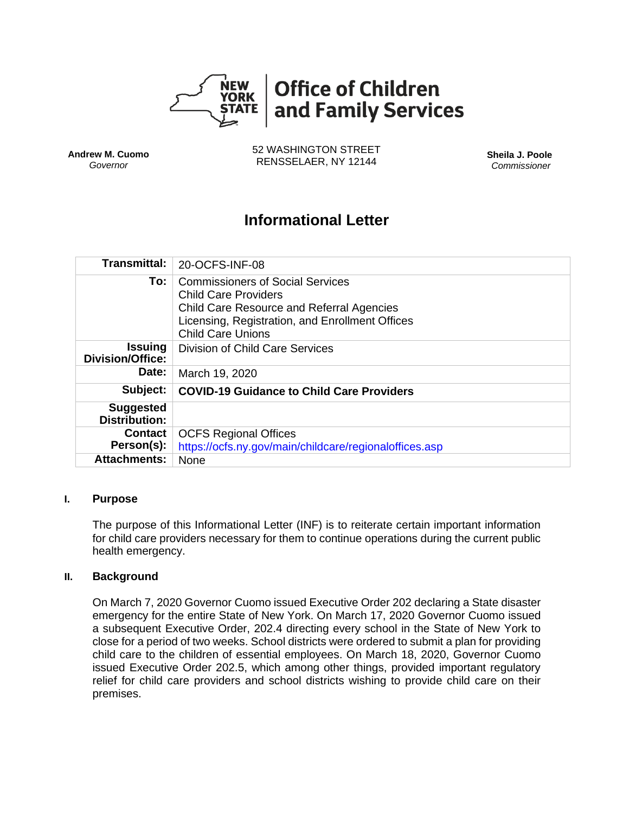

**Andrew M. Cuomo** *Governor*

52 WASHINGTON STREET RENSSELAER, NY 12144 **Sheila J. Poole**

*Commissioner*

# **Informational Letter**

| <b>Transmittal:</b>                       | 20-OCFS-INF-08                                                                                                                                                                                            |
|-------------------------------------------|-----------------------------------------------------------------------------------------------------------------------------------------------------------------------------------------------------------|
| To:                                       | <b>Commissioners of Social Services</b><br><b>Child Care Providers</b><br><b>Child Care Resource and Referral Agencies</b><br>Licensing, Registration, and Enrollment Offices<br><b>Child Care Unions</b> |
| <b>Issuing</b><br><b>Division/Office:</b> | <b>Division of Child Care Services</b>                                                                                                                                                                    |
| Date:                                     | March 19, 2020                                                                                                                                                                                            |
| Subject:                                  | <b>COVID-19 Guidance to Child Care Providers</b>                                                                                                                                                          |
| <b>Suggested</b><br><b>Distribution:</b>  |                                                                                                                                                                                                           |
| <b>Contact</b>                            | <b>OCFS Regional Offices</b>                                                                                                                                                                              |
| Person(s):                                | https://ocfs.ny.gov/main/childcare/regionaloffices.asp                                                                                                                                                    |
| <b>Attachments:</b>                       | None                                                                                                                                                                                                      |

#### **I. Purpose**

The purpose of this Informational Letter (INF) is to reiterate certain important information for child care providers necessary for them to continue operations during the current public health emergency.

#### **II. Background**

On March 7, 2020 Governor Cuomo issued Executive Order 202 declaring a State disaster emergency for the entire State of New York. On March 17, 2020 Governor Cuomo issued a subsequent Executive Order, 202.4 directing every school in the State of New York to close for a period of two weeks. School districts were ordered to submit a plan for providing child care to the children of essential employees. On March 18, 2020, Governor Cuomo issued Executive Order 202.5, which among other things, provided important regulatory relief for child care providers and school districts wishing to provide child care on their premises.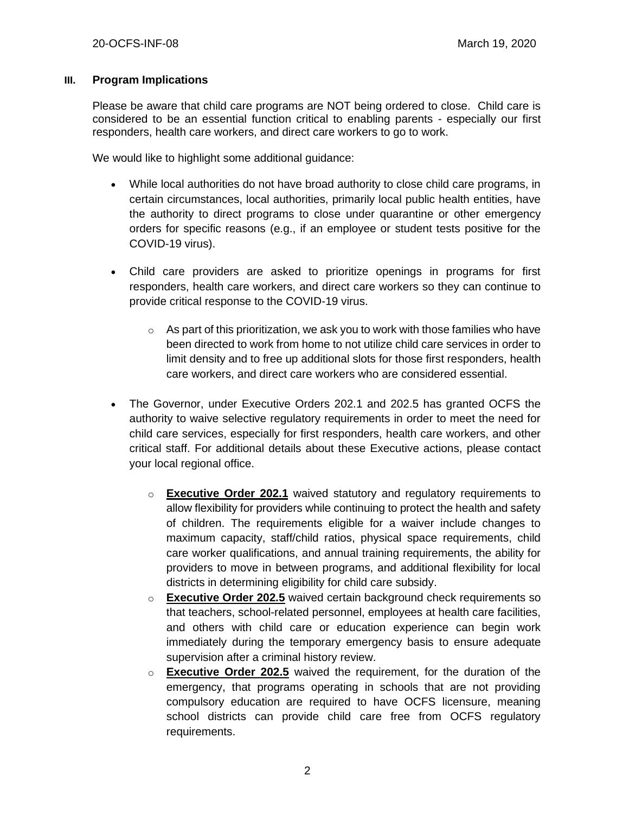### **III. Program Implications**

Please be aware that child care programs are NOT being ordered to close. Child care is considered to be an essential function critical to enabling parents - especially our first responders, health care workers, and direct care workers to go to work.

We would like to highlight some additional guidance:

- While local authorities do not have broad authority to close child care programs, in certain circumstances, local authorities, primarily local public health entities, have the authority to direct programs to close under quarantine or other emergency orders for specific reasons (e.g., if an employee or student tests positive for the COVID-19 virus).
- Child care providers are asked to prioritize openings in programs for first responders, health care workers, and direct care workers so they can continue to provide critical response to the COVID-19 virus.
	- $\circ$  As part of this prioritization, we ask you to work with those families who have been directed to work from home to not utilize child care services in order to limit density and to free up additional slots for those first responders, health care workers, and direct care workers who are considered essential.
- The Governor, under Executive Orders 202.1 and 202.5 has granted OCFS the authority to waive selective regulatory requirements in order to meet the need for child care services, especially for first responders, health care workers, and other critical staff. For additional details about these Executive actions, please contact your local regional office.
	- o **Executive Order 202.1** waived statutory and regulatory requirements to allow flexibility for providers while continuing to protect the health and safety of children. The requirements eligible for a waiver include changes to maximum capacity, staff/child ratios, physical space requirements, child care worker qualifications, and annual training requirements, the ability for providers to move in between programs, and additional flexibility for local districts in determining eligibility for child care subsidy.
	- o **Executive Order 202.5** waived certain background check requirements so that teachers, school-related personnel, employees at health care facilities, and others with child care or education experience can begin work immediately during the temporary emergency basis to ensure adequate supervision after a criminal history review.
	- o **Executive Order 202.5** waived the requirement, for the duration of the emergency, that programs operating in schools that are not providing compulsory education are required to have OCFS licensure, meaning school districts can provide child care free from OCFS regulatory requirements.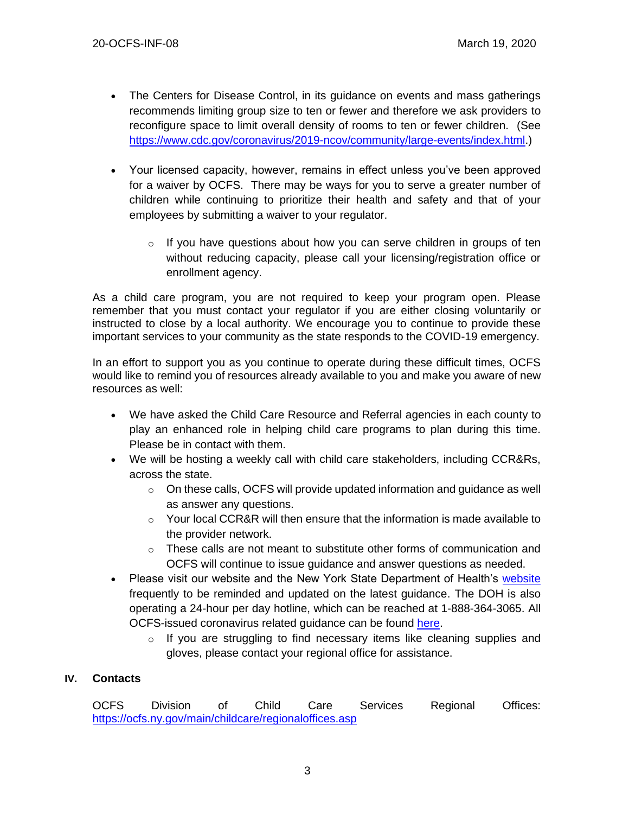- The Centers for Disease Control, in its guidance on events and mass gatherings recommends limiting group size to ten or fewer and therefore we ask providers to reconfigure space to limit overall density of rooms to ten or fewer children. (See [https://www.cdc.gov/coronavirus/2019-ncov/community/large-events/index.html.](https://www.cdc.gov/coronavirus/2019-ncov/community/large-events/index.html))
- Your licensed capacity, however, remains in effect unless you've been approved for a waiver by OCFS. There may be ways for you to serve a greater number of children while continuing to prioritize their health and safety and that of your employees by submitting a waiver to your regulator.
	- o If you have questions about how you can serve children in groups of ten without reducing capacity, please call your licensing/registration office or enrollment agency.

As a child care program, you are not required to keep your program open. Please remember that you must contact your regulator if you are either closing voluntarily or instructed to close by a local authority. We encourage you to continue to provide these important services to your community as the state responds to the COVID-19 emergency.

In an effort to support you as you continue to operate during these difficult times, OCFS would like to remind you of resources already available to you and make you aware of new resources as well:

- We have asked the Child Care Resource and Referral agencies in each county to play an enhanced role in helping child care programs to plan during this time. Please be in contact with them.
- We will be hosting a weekly call with child care stakeholders, including CCR&Rs, across the state.
	- $\circ$  On these calls, OCFS will provide updated information and quidance as well as answer any questions.
	- $\circ$  Your local CCR&R will then ensure that the information is made available to the provider network.
	- $\circ$  These calls are not meant to substitute other forms of communication and OCFS will continue to issue guidance and answer questions as needed.
- Please visit our website and the New York State Department of Health's [website](https://coronavirus.health.ny.gov/home) frequently to be reminded and updated on the latest guidance. The DOH is also operating a 24-hour per day hotline, which can be reached at 1-888-364-3065. All OCFS-issued coronavirus related guidance can be found [here.](https://ocfs.ny.gov/programs/childcare/)
	- o If you are struggling to find necessary items like cleaning supplies and gloves, please contact your regional office for assistance.

## **IV. Contacts**

OCFS Division of Child Care Services Regional Offices: <https://ocfs.ny.gov/main/childcare/regionaloffices.asp>